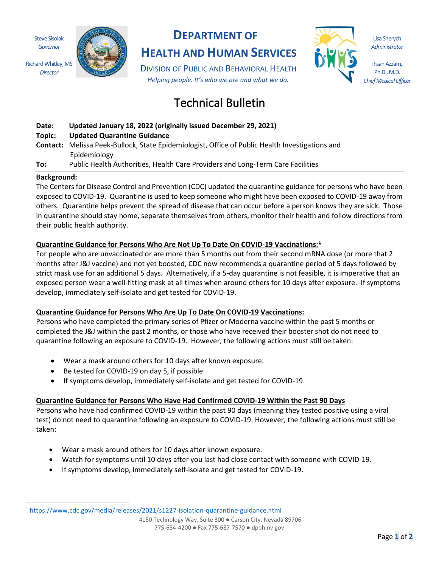Steve Sisolak *Governor*

Richard Whitley, MS *Director*



# **DEPARTMENT OF**

**HEALTH AND HUMAN SERVICES**

DIVISION OF PUBLIC AND BEHAVIORAL HEALTH *Helping people. It's who we are and what we do.*

# Technical Bulletin



**Date: Updated January 18, 2022 (originally issued December 29, 2021)**

### **Topic: Updated Quarantine Guidance**

- **Contact:** Melissa Peek-Bullock, State Epidemiologist, Office of Public Health Investigations and Epidemiology
- **To:** Public Health Authorities, Health Care Providers and Long-Term Care Facilities

#### **Background:**

The Centers for Disease Control and Prevention (CDC) updated the quarantine guidance for persons who have been exposed to COVID-19. Quarantine is used to keep someone who might have been exposed to COVID-19 away from others. Quarantine helps prevent the spread of disease that can occur before a person knows they are sick. Those in quarantine should stay home, separate themselves from others, monitor their health and follow directions from their public health authority.

## **Quarantine Guidance for Persons Who Are Not Up To Date On COVID-19 Vaccinations: [1](#page-0-0)**

For people who are unvaccinated or are more than 5 months out from their second mRNA dose (or more that 2 months after J&J vaccine) and not yet boosted, CDC now recommends a quarantine period of 5 days followed by strict mask use for an additional 5 days. Alternatively, if a 5-day quarantine is not feasible, it is imperative that an exposed person wear a well-fitting mask at all times when around others for 10 days after exposure. If symptoms develop, immediately self-isolate and get tested for COVID-19.

#### **Quarantine Guidance for Persons Who Are Up To Date On COVID-19 Vaccinations:**

Persons who have completed the primary series of Pfizer or Moderna vaccine within the past 5 months or completed the J&J within the past 2 months, or those who have received their booster shot do not need to quarantine following an exposure to COVID-19. However, the following actions must still be taken:

- Wear a mask around others for 10 days after known exposure.
- Be tested for COVID-19 on day 5, if possible.
- If symptoms develop, immediately self-isolate and get tested for COVID-19.

# **Quarantine Guidance for Persons Who Have Had Confirmed COVID-19 Within the Past 90 Days**

Persons who have had confirmed COVID-19 within the past 90 days (meaning they tested positive using a viral test) do not need to quarantine following an exposure to COVID-19. However, the following actions must still be taken:

- Wear a mask around others for 10 days after known exposure.
- Watch for symptoms until 10 days after you last had close contact with someone with COVID-19.
- If symptoms develop, immediately self-isolate and get tested for COVID-19.

Lisa Sherych *Administrator*

Ihsan Azzam, Ph.D., M.D. *Chief Medical Officer*

<span id="page-0-0"></span><sup>1</sup> <https://www.cdc.gov/media/releases/2021/s1227-isolation-quarantine-guidance.html>